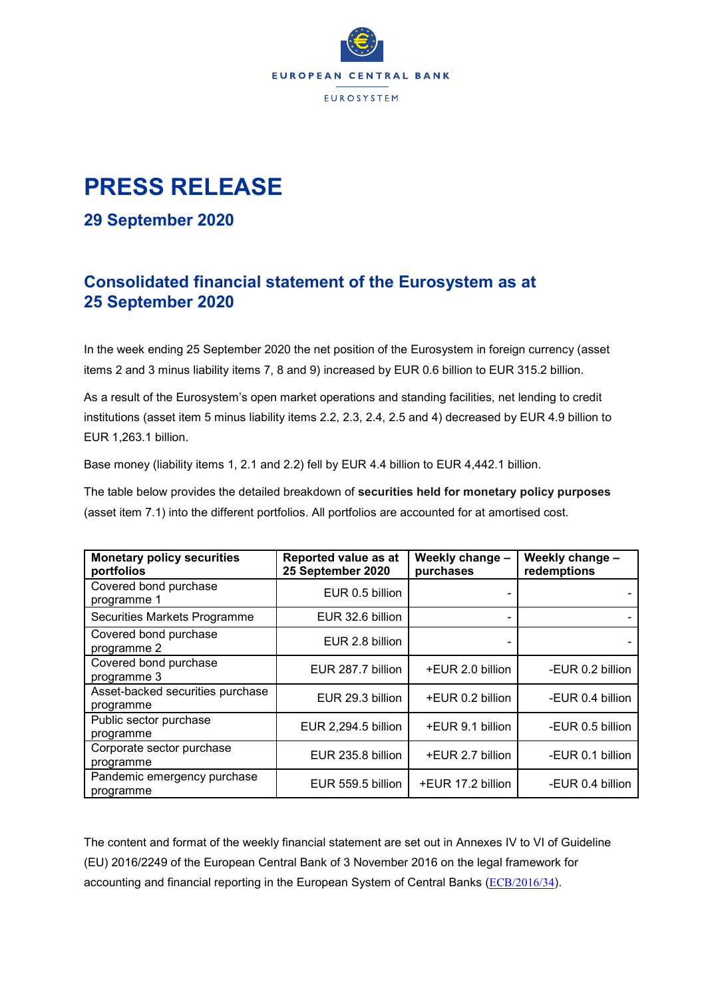

# **PRESS RELEASE**

### **29 September 2020**

## **Consolidated financial statement of the Eurosystem as at 25 September 2020**

In the week ending 25 September 2020 the net position of the Eurosystem in foreign currency (asset items 2 and 3 minus liability items 7, 8 and 9) increased by EUR 0.6 billion to EUR 315.2 billion.

As a result of the Eurosystem's open market operations and standing facilities, net lending to credit institutions (asset item 5 minus liability items 2.2, 2.3, 2.4, 2.5 and 4) decreased by EUR 4.9 billion to EUR 1,263.1 billion.

Base money (liability items 1, 2.1 and 2.2) fell by EUR 4.4 billion to EUR 4,442.1 billion.

The table below provides the detailed breakdown of **securities held for monetary policy purposes** (asset item 7.1) into the different portfolios. All portfolios are accounted for at amortised cost.

| <b>Monetary policy securities</b><br>portfolios | Reported value as at<br>25 September 2020 | Weekly change -<br>purchases | Weekly change -<br>redemptions |
|-------------------------------------------------|-------------------------------------------|------------------------------|--------------------------------|
| Covered bond purchase<br>programme 1            | EUR 0.5 billion                           |                              |                                |
| Securities Markets Programme                    | EUR 32.6 billion                          |                              |                                |
| Covered bond purchase<br>programme 2            | EUR 2.8 billion                           |                              |                                |
| Covered bond purchase<br>programme 3            | EUR 287.7 billion                         | +EUR 2.0 billion             | -EUR 0.2 billion               |
| Asset-backed securities purchase<br>programme   | EUR 29.3 billion                          | +EUR 0.2 billion             | -EUR 0.4 billion               |
| Public sector purchase<br>programme             | EUR 2,294.5 billion                       | +EUR 9.1 billion             | -EUR 0.5 billion               |
| Corporate sector purchase<br>programme          | EUR 235.8 billion                         | +EUR 2.7 billion             | -EUR 0.1 billion               |
| Pandemic emergency purchase<br>programme        | EUR 559.5 billion                         | +EUR 17.2 billion            | -EUR 0.4 billion               |

The content and format of the weekly financial statement are set out in Annexes IV to VI of Guideline (EU) 2016/2249 of the European Central Bank of 3 November 2016 on the legal framework for accounting and financial reporting in the European System of Central Banks ([ECB/2016/34](https://eur-lex.europa.eu/legal-content/EN/TXT/?qid=1599130224518&uri=CELEX:32016O0034)).